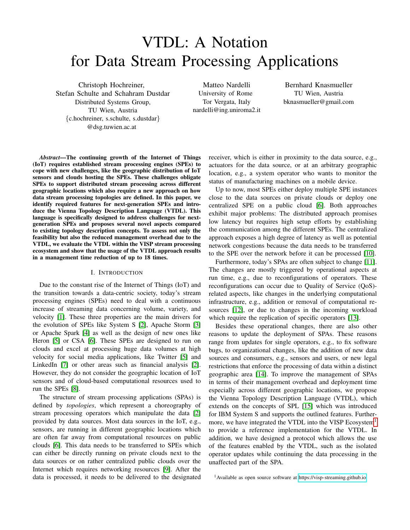# VTDL: A Notation for Data Stream Processing Applications

Christoph Hochreiner, Stefan Schulte and Schahram Dustdar Distributed Systems Group, TU Wien, Austria {c.hochreiner, s.schulte, s.dustdar} @dsg.tuwien.ac.at

Matteo Nardelli University of Rome Tor Vergata, Italy nardelli@ing.uniroma2.it

Bernhard Knasmueller TU Wien, Austria bknasmueller@gmail.com

*Abstract*—The continuing growth of the Internet of Things (IoT) requires established stream processing engines (SPEs) to cope with new challenges, like the geographic distribution of IoT sensors and clouds hosting the SPEs. These challenges obligate SPEs to support distributed stream processing across different geographic locations which also require a new approach on how data stream processing topologies are defined. In this paper, we identify required features for next-generation SPEs and introduce the Vienna Topology Description Language (VTDL). This language is specifically designed to address challenges for nextgeneration SPEs and proposes several novel aspects compared to existing topology description concepts. To assess not only the feasibility but also the reduced management overhead due to the VTDL, we evaluate the VTDL within the VISP stream processing ecosystem and show that the usage of the VTDL approach results in a management time reduction of up to 18 times.

# I. INTRODUCTION

Due to the constant rise of the Internet of Things (IoT) and the transition towards a data-centric society, today's stream processing engines (SPEs) need to deal with a continuous increase of streaming data concerning volume, variety, and velocity [\[1\]](#page-8-0). These three properties are the main drivers for the evolution of SPEs like System S [\[2\]](#page-8-1), Apache Storm [\[3\]](#page-8-2) or Apache Spark [\[4\]](#page-8-3) as well as the design of new ones like Heron [\[5\]](#page-8-4) or CSA [\[6\]](#page-8-5). These SPEs are designed to run on clouds and excel at processing huge data volumes at high velocity for social media applications, like Twitter [\[5\]](#page-8-4) and LinkedIn [\[7\]](#page-9-0) or other areas such as financial analysis [\[2\]](#page-8-1). However, they do not consider the geographic location of IoT sensors and of cloud-based computational resources used to run the SPEs [\[8\]](#page-9-1).

The structure of stream processing applications (SPAs) is defined by *topologies*, which represent a choreography of stream processing operators which manipulate the data [\[2\]](#page-8-1) provided by data sources. Most data sources in the IoT, e.g., sensors, are running in different geographic locations which are often far away from computational resources on public clouds [\[6\]](#page-8-5). This data needs to be transferred to SPEs which can either be directly running on private clouds next to the data sources or on rather centralized public clouds over the Internet which requires networking resources [\[9\]](#page-9-2). After the data is processed, it needs to be delivered to the designated receiver, which is either in proximity to the data source, e.g., actuators for the data source, or at an arbitrary geographic location, e.g., a system operator who wants to monitor the status of manufacturing machines on a mobile device.

Up to now, most SPEs either deploy multiple SPE instances close to the data sources on private clouds or deploy one centralized SPE on a public cloud [\[6\]](#page-8-5). Both approaches exhibit major problems: The distributed approach promises low latency but requires high setup efforts by establishing the communication among the different SPEs. The centralized approach exposes a high degree of latency as well as potential network congestions because the data needs to be transferred to the SPE over the network before it can be processed [\[10\]](#page-9-3).

Furthermore, today's SPAs are often subject to change [\[11\]](#page-9-4). The changes are mostly triggered by operational aspects at run time, e.g., due to reconfigurations of operators. These reconfigurations can occur due to Quality of Service (QoS) related aspects, like changes in the underlying computational infrastructure, e.g., addition or removal of computational resources [\[12\]](#page-9-5), or due to changes in the incoming workload which require the replication of specific operators [\[13\]](#page-9-6).

Besides these operational changes, there are also other reasons to update the deployment of SPAs. These reasons range from updates for single operators, e.g., to fix software bugs, to organizational changes, like the addition of new data sources and consumers, e.g., sensors and users, or new legal restrictions that enforce the processing of data within a distinct geographic area [\[14\]](#page-9-7). To improve the management of SPAs in terms of their management overhead and deployment time especially across different geographic locations, we propose the Vienna Topology Description Language (VTDL), which extends on the concepts of SPL [\[15\]](#page-9-8) which was introduced for IBM System S and supports the outlined features. Further-more, we have integrated the VTDL into the VISP Ecosystem<sup>[1](#page-0-0)</sup> to provide a reference implementation for the VTDL. In addition, we have designed a protocol which allows the use of the features enabled by the VTDL, such as the isolated operator updates while continuing the data processing in the unaffected part of the SPA.

<span id="page-0-0"></span><sup>1</sup>Available as open source software at<https://visp-streaming.github.io>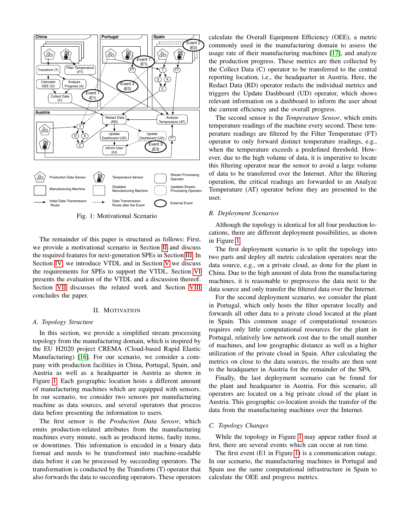<span id="page-1-1"></span>

Fig. 1: Motivational Scenario

The remainder of this paper is structured as follows: First, we provide a motivational scenario in Section [II](#page-1-0) and discuss the required features for next-generation SPEs in Section [III.](#page-2-0) In Section [IV,](#page-3-0) we introduce VTDL and in Section [V](#page-4-0) we discuss the requirements for SPEs to support the VTDL. Section [VI](#page-6-0) presents the evaluation of the VTDL and a discussion thereof. Section [VII](#page-7-0) discusses the related work and Section [VIII](#page-8-6) concludes the paper.

## II. MOTIVATION

#### <span id="page-1-0"></span>*A. Topology Structure*

In this section, we provide a simplified stream processing topology from the manufacturing domain, which is inspired by the EU H2020 project CREMA (Cloud-based Rapid Elastic Manufacturing) [\[16\]](#page-9-9). For our scenario, we consider a company with production facilities in China, Portugal, Spain, and Austria as well as a headquarter in Austria as shown in Figure [1.](#page-1-1) Each geographic location hosts a different amount of manufacturing machines which are equipped with sensors. In our scenario, we consider two sensors per manufacturing machine as data sources, and several operators that process data before presenting the information to users.

The first sensor is the *Production Data Sensor*, which emits production-related attributes from the manufacturing machines every minute, such as produced items, faulty items, or downtimes. This information is encoded in a binary data format and needs to be transformed into machine-readable data before it can be processed by succeeding operators. The transformation is conducted by the Transform (T) operator that also forwards the data to succeeding operators. These operators

calculate the Overall Equipment Efficiency (OEE), a metric commonly used in the manufacturing domain to assess the usage rate of their manufacturing machines [\[17\]](#page-9-10), and analyze the production progress. These metrics are then collected by the Collect Data (C) operator to be transferred to the central reporting location, i.e., the headquarter in Austria. Here, the Redact Data (RD) operator redacts the individual metrics and triggers the Update Dashboard (UD) operator, which shows relevant information on a dashboard to inform the user about the current efficiency and the overall progress.

The second sensor is the *Temperature Sensor*, which emits temperature readings of the machine every second. These temperature readings are filtered by the Filter Temperature (FT) operator to only forward distinct temperature readings, e.g., when the temperature exceeds a predefined threshold. However, due to the high volume of data, it is imperative to locate this filtering operator near the sensor to avoid a large volume of data to be transferred over the Internet. After the filtering operation, the critical readings are forwarded to an Analyze Temperature (AT) operator before they are presented to the user.

#### *B. Deployment Scenarios*

Although the topology is identical for all four production locations, there are different deployment possibilities, as shown in Figure [1.](#page-1-1)

The first deployment scenario is to split the topology into two parts and deploy all metric calculation operators near the data source, e.g., on a private cloud, as done for the plant in China. Due to the high amount of data from the manufacturing machines, it is reasonable to preprocess the data next to the data source and only transfer the filtered data over the Internet.

For the second deployment scenario, we consider the plant in Portugal, which only hosts the filter operator locally and forwards all other data to a private cloud located at the plant in Spain. This common usage of computational resources requires only little computational resources for the plant in Portugal, relatively low network cost due to the small number of machines, and low geographic distance as well as a higher utilization of the private cloud in Spain. After calculating the metrics on close to the data sources, the results are then sent to the headquarter in Austria for the remainder of the SPA.

Finally, the last deployment scenario can be found for the plant and headquarter in Austria. For this scenario, all operators are located on a big private cloud of the plant in Austria. This geographic co-location avoids the transfer of the data from the manufacturing machines over the Internet.

## *C. Topology Changes*

While the topology in Figure [1](#page-1-1) may appear rather fixed at first, there are several events which can occur at run time.

The first event (E1 in Figure [1\)](#page-1-1) is a communication outage. In our scenario, the manufacturing machines in Portugal and Spain use the same computational infrastructure in Spain to calculate the OEE and progress metrics.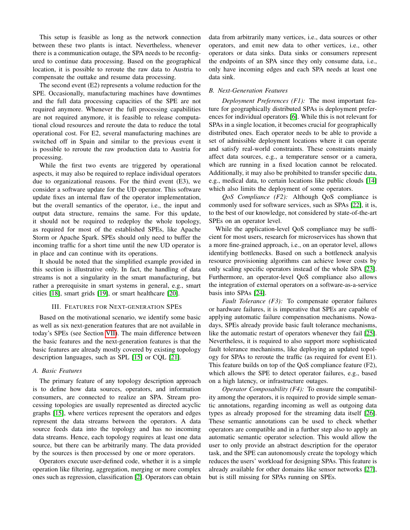This setup is feasible as long as the network connection between these two plants is intact. Nevertheless, whenever there is a communication outage, the SPA needs to be reconfigured to continue data processing. Based on the geographical location, it is possible to reroute the raw data to Austria to compensate the outtake and resume data processing.

The second event (E2) represents a volume reduction for the SPE. Occasionally, manufacturing machines have downtimes and the full data processing capacities of the SPE are not required anymore. Whenever the full processing capabilities are not required anymore, it is feasible to release computational cloud resources and reroute the data to reduce the total operational cost. For E2, several manufacturing machines are switched off in Spain and similar to the previous event it is possible to reroute the raw production data to Austria for processing.

While the first two events are triggered by operational aspects, it may also be required to replace individual operators due to organizational reasons. For the third event (E3), we consider a software update for the UD operator. This software update fixes an internal flaw of the operator implementation, but the overall semantics of the operator, i.e., the input and output data structure, remains the same. For this update, it should not be required to redeploy the whole topology, as required for most of the established SPEs, like Apache Storm or Apache Spark. SPEs should only need to buffer the incoming traffic for a short time until the new UD operator is in place and can continue with its operations.

It should be noted that the simplified example provided in this section is illustrative only. In fact, the handling of data streams is not a singularity in the smart manufacturing, but rather a prerequisite in smart systems in general, e.g., smart cities [\[18\]](#page-9-11), smart grids [\[19\]](#page-9-12), or smart healthcare [\[20\]](#page-9-13).

#### III. FEATURES FOR NEXT-GENERATION SPES

<span id="page-2-0"></span>Based on the motivational scenario, we identify some basic as well as six next-generation features that are not available in today's SPEs (see Section [VII\)](#page-7-0). The main difference between the basic features and the next-generation features is that the basic features are already mostly covered by existing topology description languages, such as SPL [\[15\]](#page-9-8) or CQL [\[21\]](#page-9-14).

# *A. Basic Features*

The primary feature of any topology description approach is to define how data sources, operators, and information consumers, are connected to realize an SPA. Stream processing topologies are usually represented as directed acyclic graphs [\[15\]](#page-9-8), where vertices represent the operators and edges represent the data streams between the operators. A data source feeds data into the topology and has no incoming data streams. Hence, each topology requires at least one data source, but there can be arbitrarily many. The data provided by the sources is then processed by one or more operators.

Operators execute user-defined code, whether it is a simple operation like filtering, aggregation, merging or more complex ones such as regression, classification [\[2\]](#page-8-1). Operators can obtain data from arbitrarily many vertices, i.e., data sources or other operators, and emit new data to other vertices, i.e., other operators or data sinks. Data sinks or consumers represent the endpoints of an SPA since they only consume data, i.e., only have incoming edges and each SPA needs at least one data sink.

## *B. Next-Generation Features*

*Deployment Preferences (F1):* The most important feature for geographically distributed SPAs is deployment preferences for individual operators [\[6\]](#page-8-5). While this is not relevant for SPAs in a single location, it becomes crucial for geographically distributed ones. Each operator needs to be able to provide a set of admissible deployment locations where it can operate and satisfy real-world constraints. These constraints mainly affect data sources, e.g., a temperature sensor or a camera, which are running in a fixed location cannot be relocated. Additionally, it may also be prohibited to transfer specific data, e.g., medical data, to certain locations like public clouds [\[14\]](#page-9-7) which also limits the deployment of some operators.

*QoS Compliance (F2):* Although QoS compliance is commonly used for software services, such as SPAs [\[22\]](#page-9-15), it is, to the best of our knowledge, not considered by state-of-the-art SPEs on an operator level.

While the application-level QoS compliance may be sufficient for most users, research for microservices has shown that a more fine-grained approach, i.e., on an operator level, allows identifying bottlenecks. Based on such a bottleneck analysis resource provisioning algorithms can achieve lower costs by only scaling specific operators instead of the whole SPA [\[23\]](#page-9-16). Furthermore, an operator-level QoS compliance also allows the integration of external operators on a software-as-a-service basis into SPAs [\[24\]](#page-9-17).

*Fault Tolerance (F3):* To compensate operator failures or hardware failures, it is imperative that SPEs are capable of applying automatic failure compensation mechanisms. Nowadays, SPEs already provide basic fault tolerance mechanisms, like the automatic restart of operators whenever they fail [\[25\]](#page-9-18). Nevertheless, it is required to also support more sophisticated fault tolerance mechanisms, like deploying an updated topology for SPAs to reroute the traffic (as required for event E1). This feature builds on top of the QoS compliance feature (F2), which allows the SPE to detect operator failures, e.g., based on a high latency, or infrastructure outages.

*Operator Composability (F4):* To ensure the compatibility among the operators, it is required to provide simple semantic annotations, regarding incoming as well as outgoing data types as already proposed for the streaming data itself [\[26\]](#page-9-19). These semantic annotations can be used to check whether operators are compatible and in a further step also to apply an automatic semantic operator selection. This would allow the user to only provide an abstract description for the operator task, and the SPE can autonomously create the topology which reduces the users' workload for designing SPAs. This feature is already available for other domains like sensor networks [\[27\]](#page-9-20), but is still missing for SPAs running on SPEs.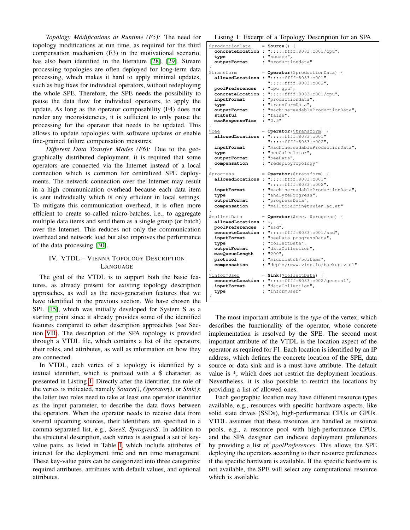*Topology Modifications at Runtime (F5):* The need for topology modifications at run time, as required for the third compensation mechanism (E3) in the motivational scenario, has also been identified in the literature [\[28\]](#page-9-21), [\[29\]](#page-9-22). Stream processing topologies are often deployed for long-term data processing, which makes it hard to apply minimal updates, such as bug fixes for individual operators, without redeploying the whole SPE. Therefore, the SPE needs the possibility to pause the data flow for individual operators, to apply the update. As long as the operator composability (F4) does not render any inconsistencies, it is sufficient to only pause the processing for the operator that needs to be updated. This allows to update topologies with software updates or enable fine-grained failure compensation measures.

*Different Data Transfer Modes (F6):* Due to the geographically distributed deployment, it is required that some operators are connected via the Internet instead of a local connection which is common for centralized SPE deployments. The network connection over the Internet may result in a high communication overhead because each data item is sent individually which is only efficient in local settings. To mitigate this communication overhead, it is often more efficient to create so-called micro-batches, i.e., to aggregate multiple data items and send them as a single group (or batch) over the Internet. This reduces not only the communication overhead and network load but also improves the performance of the data processing [\[30\]](#page-9-23).

# <span id="page-3-0"></span>IV. VTDL – VIENNA TOPOLOGY DESCRIPTION LANGUAGE

The goal of the VTDL is to support both the basic features, as already present for existing topology description approaches, as well as the next-generation features that we have identified in the previous section. We have chosen the SPL [\[15\]](#page-9-8), which was initially developed for System S as a starting point since it already provides some of the identified features compared to other description approaches (see Section [VII\)](#page-7-0). The description of the SPA topology is provided through a VTDL file, which contains a list of the operators, their roles, and attributes, as well as information on how they are connected.

In VTDL, each vertex of a topology is identified by a textual identifier, which is prefixed with a \$ character, as presented in Listing [1.](#page-3-1) Directly after the identifier, the role of the vertex is indicated, namely *Source()*, *Operator()*, or *Sink()*; the latter two roles need to take at least one operator identifier as the input parameter, to describe the data flows between the operators. When the operator needs to receive data from several upcoming sources, their identifiers are specified in a comma-separated list, e.g., \$*oeeS,* \$*progressS*. In addition to the structural description, each vertex is assigned a set of keyvalue pairs, as listed in Table [I,](#page-4-1) which include attributes of interest for the deployment time and run time management. These key-value pairs can be categorized into three categories: required attributes, attributes with default values, and optional attributes.

<span id="page-3-1"></span>Listing 1: Excerpt of a Topology Description for an SPA

|   | \$productionData        |                      | $=$ Source() {                                    |
|---|-------------------------|----------------------|---------------------------------------------------|
|   |                         |                      | concreteLocation : ":::::ffff:8083:c001/cpu",     |
|   | type                    |                      | : "source",                                       |
|   | outputFormat            |                      | : "productiondata"                                |
| ł |                         |                      |                                                   |
|   | <b>\$transform</b>      |                      | = Operator (\$productionData) {                   |
|   |                         |                      | allowedLocations : ":::::ffff:8083:c001"          |
|   |                         |                      | $"$ :::::ffff:8083:c002",                         |
|   | poolPreferences         | $\ddot{\phantom{a}}$ | "cpu gpu",                                        |
|   |                         |                      | concreteLocation : ":::::ffff:8083:c001/cpu",     |
|   | inputFormat             | $\ddot{\phantom{a}}$ | "productiondata",                                 |
|   | type                    |                      | : "transformData",                                |
|   | outputFormat            | $\ddot{\phantom{0}}$ | "machinereadableProductionData",                  |
|   | stateful                |                      | "false",                                          |
|   | maxResponseTime         |                      | : "0.5"                                           |
| ł |                         |                      |                                                   |
|   | \$oee                   |                      | = Operator (\$transform) {                        |
|   |                         |                      | allowedLocations : ":::::ffff:8083:c001"          |
|   |                         |                      | $"$ :::::ffff:8083:c002",                         |
|   | inputFormat             |                      | : "machinereadableProductionData",                |
|   | type                    |                      | : "oeeCalculator",                                |
|   | outputFormat            |                      | : "oeeData",                                      |
|   | compensation            | $\mathbf{r}$         | "redeployTopology"                                |
| ł |                         |                      |                                                   |
|   |                         |                      |                                                   |
|   | Sprogress               |                      | = Operator(\$transform) {                         |
|   |                         |                      | allowedLocations : ":::::ffff:8083:c001"          |
|   |                         |                      | $"$ :::::ffff:8083:c002",                         |
|   | inputFormat             |                      | : "machinereadableProductionData",                |
|   | type                    | $\mathbf{r}$         | "analyzeProgress",                                |
|   | outputFormat            |                      | : "progressData",                                 |
|   | compensation            |                      | : "mailto:admin@tuwien.ac.at"                     |
| ł |                         |                      |                                                   |
|   | \$collectData           |                      | = <b>Operator</b> (\$oee, \$progress) {           |
|   | $allowedLocations : *,$ |                      |                                                   |
|   | poolPreferences         |                      | : "ssd",                                          |
|   | concreteLocation :      |                      | $":::::$ ffff:8083:c001/ssd",                     |
|   | inputFormat             |                      | : "oeeData progressData",                         |
|   | type                    | $\ddot{\phantom{a}}$ | "collectData",                                    |
|   | outputFormat            |                      | "dataCollection",                                 |
|   | maxQueueLength          |                      | : "200",                                          |
|   | protocol                |                      | "microbatch/50items",                             |
|   | compensation            |                      | : "deploy:www.visp.io/backup.vtdl"                |
| ł |                         |                      |                                                   |
|   | \$informUser            |                      | $=$ Sink (\$collectData)                          |
|   |                         |                      | concreteLocation : ":::::ffff:8083:c002/general", |
|   | inputFormat             |                      | : "dataCollection",                               |
|   | type                    |                      | : "informUser"                                    |

The most important attribute is the *type* of the vertex, which describes the functionality of the operator, whose concrete implementation is resolved by the SPE. The second most important attribute of the VTDL is the location aspect of the operator as required for F1. Each location is identified by an IP address, which defines the concrete location of the SPE, data source or data sink and is a must-have attribute. The default value is \*, which does not restrict the deployment locations. Nevertheless, it is also possible to restrict the locations by providing a list of allowed ones.

Each geographic location may have different resource types available, e.g., resources with specific hardware aspects, like solid state drives (SSDs), high-performance CPUs or GPUs. VTDL assumes that these resources are handled as resource pools, e.g., a resource pool with high-performance CPUs, and the SPA designer can indicate deployment preferences by providing a list of *poolPreferences*. This allows the SPE deploying the operators according to their resource preferences if the specific hardware is available. If the specific hardware is not available, the SPE will select any computational resource which is available.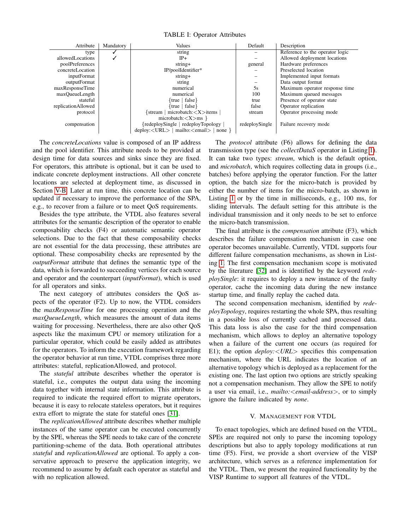TABLE I: Operator Attributes

<span id="page-4-1"></span>

The *concreteLocations* value is composed of an IP address and the pool identifier. This attribute needs to be provided at design time for data sources and sinks since they are fixed. For operators, this attribute is optional, but it can be used to indicate concrete deployment instructions. All other concrete locations are selected at deployment time, as discussed in Section [V-B.](#page-5-0) Later at run time, this concrete location can be updated if necessary to improve the performance of the SPA, e.g., to recover from a failure or to meet QoS requirements.

Besides the type attribute, the VTDL also features several attributes for the semantic description of the operator to enable composability checks (F4) or automatic semantic operator selections. Due to the fact that these composability checks are not essential for the data processing, these attributes are optional. These composability checks are represented by the *outputFormat* attribute that defines the semantic type of the data, which is forwarded to succeeding vertices for each source and operator and the counterpart (*inputFormat*), which is used for all operators and sinks.

The next category of attributes considers the QoS aspects of the operator (F2). Up to now, the VTDL considers the *maxResponseTime* for one processing operation and the *maxQueueLength*, which measures the amount of data items waiting for processing. Nevertheless, there are also other QoS aspects like the maximum CPU or memory utilization for a particular operator, which could be easily added as attributes for the operators. To inform the execution framework regarding the operator behavior at run time, VTDL comprises three more attributes: stateful, replicationAllowed, and protocol.

The *stateful* attribute describes whether the operator is stateful, i.e., computes the output data using the incoming data together with internal state information. This attribute is required to indicate the required effort to migrate operators, because it is easy to relocate stateless operators, but it requires extra effort to migrate the state for stateful ones [\[31\]](#page-9-24).

The *replicationAllowed* attribute describes whether multiple instances of the same operator can be executed concurrently by the SPE, whereas the SPE needs to take care of the concrete partitioning-scheme of the data. Both operational attributes *stateful* and *replicationAllowed* are optional. To apply a conservative approach to preserve the application integrity, we recommend to assume by default each operator as stateful and with no replication allowed.

The *protocol* attribute (F6) allows for defining the data transmission type (see the *collectDataS* operator in Listing [1\)](#page-3-1). It can take two types: *stream*, which is the default option, and *microbatch*, which requires collecting data in groups (i.e., batches) before applying the operator function. For the latter option, the batch size for the micro-batch is provided by either the number of items for the micro-batch, as shown in Listing [1](#page-3-1) or by the time in milliseconds, e.g., 100 ms, for sliding intervals. The default setting for this attribute is the individual transmission and it only needs to be set to enforce the micro-batch transmission.

The final attribute is the *compensation* attribute (F3), which describes the failure compensation mechanism in case one operator becomes unavailable. Currently, VTDL supports four different failure compensation mechanisms, as shown in Listing [1.](#page-3-1) The first compensation mechanism scope is motivated by the literature [\[32\]](#page-9-25) and is identified by the keyword *redeploySingle*: it requires to deploy a new instance of the faulty operator, cache the incoming data during the new instance startup time, and finally replay the cached data.

The second compensation mechanism, identified by *redeployTopology*, requires restarting the whole SPA, thus resulting in a possible loss of currently cached and processed data. This data loss is also the case for the third compensation mechanism, which allows to deploy an alternative topology when a failure of the current one occurs (as required for E1); the option *deploy:*<*URL*> specifies this compensation mechanism, where the URL indicates the location of an alternative topology which is deployed as a replacement for the existing one. The last option two options are strictly speaking not a compensation mechanism. They allow the SPE to notify a user via email, i.e., *mailto:*<*email-address*>, or to simply ignore the failure indicated by *none*.

## V. MANAGEMENT FOR VTDL

<span id="page-4-0"></span>To enact topologies, which are defined based on the VTDL, SPEs are required not only to parse the incoming topology descriptions but also to apply topology modifications at run time (F5). First, we provide a short overview of the VISP architecture, which serves as a reference implementation for the VTDL. Then, we present the required functionality by the VISP Runtime to support all features of the VTDL.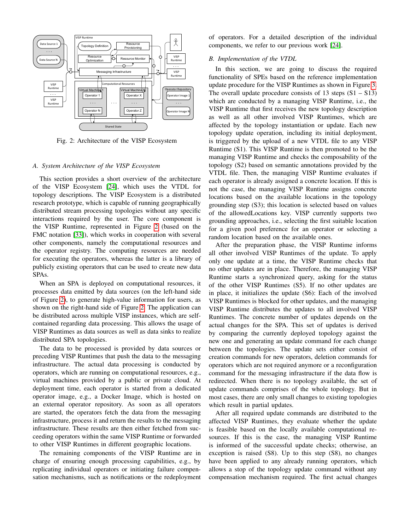<span id="page-5-1"></span>

Fig. 2: Architecture of the VISP Ecosystem

## *A. System Architecture of the VISP Ecosystem*

This section provides a short overview of the architecture of the VISP Ecosystem [\[24\]](#page-9-17), which uses the VTDL for topology descriptions. The VISP Ecosystem is a distributed research prototype, which is capable of running geographically distributed stream processing topologies without any specific interactions required by the user. The core component is the VISP Runtime, represented in Figure [2](#page-5-1) (based on the FMC notation [\[33\]](#page-9-26)), which works in cooperation with several other components, namely the computational resources and the operator registry. The computing resources are needed for executing the operators, whereas the latter is a library of publicly existing operators that can be used to create new data SPAs.

When an SPA is deployed on computational resources, it processes data emitted by data sources (on the left-hand side of Figure [2\)](#page-5-1), to generate high-value information for users, as shown on the right-hand side of Figure [2.](#page-5-1) The application can be distributed across multiple VISP instances, which are selfcontained regarding data processing. This allows the usage of VISP Runtimes as data sources as well as data sinks to realize distributed SPA topologies.

The data to be processed is provided by data sources or preceding VISP Runtimes that push the data to the messaging infrastructure. The actual data processing is conducted by operators, which are running on computational resources, e.g., virtual machines provided by a public or private cloud. At deployment time, each operator is started from a dedicated operator image, e.g., a Docker Image, which is hosted on an external operator repository. As soon as all operators are started, the operators fetch the data from the messaging infrastructure, process it and return the results to the messaging infrastructure. These results are then either fetched from succeeding operators within the same VISP Runtime or forwarded to other VISP Runtimes in different geographic locations.

The remaining components of the VISP Runtime are in charge of ensuring enough processing capabilities, e.g., by replicating individual operators or initiating failure compensation mechanisms, such as notifications or the redeployment

of operators. For a detailed description of the individual components, we refer to our previous work [\[24\]](#page-9-17).

# <span id="page-5-0"></span>*B. Implementation of the VTDL*

In this section, we are going to discuss the required functionality of SPEs based on the reference implementation update procedure for the VISP Runtimes as shown in Figure [3.](#page-6-1) The overall update procedure consists of 13 steps  $(S1 - S13)$ which are conducted by a managing VISP Runtime, i.e., the VISP Runtime that first receives the new topology description as well as all other involved VISP Runtimes, which are affected by the topology instantiation or update. Each new topology update operation, including its initial deployment, is triggered by the upload of a new VTDL file to any VISP Runtime (S1). This VISP Runtime is then promoted to be the managing VISP Runtime and checks the composability of the topology (S2) based on semantic annotations provided by the VTDL file. Then, the managing VISP Runtime evaluates if each operator is already assigned a concrete location. If this is not the case, the managing VISP Runtime assigns concrete locations based on the available locations in the topology grounding step (S3); this location is selected based on values of the allowedLocations key. VISP currently supports two grounding approaches, i.e., selecting the first suitable location for a given pool preference for an operator or selecting a random location based on the available ones.

After the preparation phase, the VISP Runtime informs all other involved VISP Runtimes of the update. To apply only one update at a time, the VISP Runtime checks that no other updates are in place. Therefore, the managing VISP Runtime starts a synchronized query, asking for the status of the other VISP Runtimes (S5). If no other updates are in place, it initializes the update (S6): Each of the involved VISP Runtimes is blocked for other updates, and the managing VISP Runtime distributes the updates to all involved VISP Runtimes. The concrete number of updates depends on the actual changes for the SPA. This set of updates is derived by comparing the currently deployed topology against the new one and generating an update command for each change between the topologies. The update sets either consist of creation commands for new operators, deletion commands for operators which are not required anymore or a reconfiguration command for the messaging infrastructure if the data flow is redirected. When there is no topology available, the set of update commands comprises of the whole topology. But in most cases, there are only small changes to existing topologies which result in partial updates.

After all required update commands are distributed to the affected VISP Runtimes, they evaluate whether the update is feasible based on the locally available computational resources. If this is the case, the managing VISP Runtime is informed of the successful update checks; otherwise, an exception is raised (S8). Up to this step (S8), no changes have been applied to any already running operators, which allows a stop of the topology update command without any compensation mechanism required. The first actual changes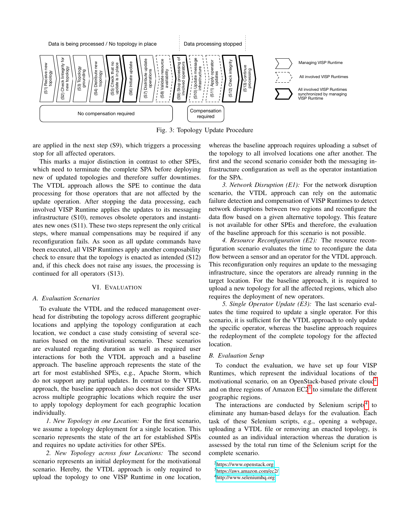<span id="page-6-1"></span>

Fig. 3: Topology Update Procedure

are applied in the next step (S9), which triggers a processing stop for all affected operators.

This marks a major distinction in contrast to other SPEs, which need to terminate the complete SPA before deploying new of updated topologies and therefore suffer downtimes. The VTDL approach allows the SPE to continue the data processing for those operators that are not affected by the update operation. After stopping the data processing, each involved VISP Runtime applies the updates to its messaging infrastructure (S10), removes obsolete operators and instantiates new ones (S11). These two steps represent the only critical steps, where manual compensations may be required if any reconfiguration fails. As soon as all update commands have been executed, all VISP Runtimes apply another composability check to ensure that the topology is enacted as intended (S12) and, if this check does not raise any issues, the processing is continued for all operators (S13).

# VI. EVALUATION

## <span id="page-6-0"></span>*A. Evaluation Scenarios*

To evaluate the VTDL and the reduced management overhead for distributing the topology across different geographic locations and applying the topology configuration at each location, we conduct a case study consisting of several scenarios based on the motivational scenario. These scenarios are evaluated regarding duration as well as required user interactions for both the VTDL approach and a baseline approach. The baseline approach represents the state of the art for most established SPEs, e.g., Apache Storm, which do not support any partial updates. In contrast to the VTDL approach, the baseline approach also does not consider SPAs across multiple geographic locations which require the user to apply topology deployment for each geographic location individually.

*1. New Topology in one Location:* For the first scenario, we assume a topology deployment for a single location. This scenario represents the state of the art for established SPEs and requires no update activities for other SPEs.

*2. New Topology across four Locations:* The second scenario represents an initial deployment for the motivational scenario. Hereby, the VTDL approach is only required to upload the topology to one VISP Runtime in one location, whereas the baseline approach requires uploading a subset of the topology to all involved locations one after another. The first and the second scenario consider both the messaging infrastructure configuration as well as the operator instantiation for the SPA.

*3. Network Disruption (E1):* For the network disruption scenario, the VTDL approach can rely on the automatic failure detection and compensation of VISP Runtimes to detect network disruptions between two regions and reconfigure the data flow based on a given alternative topology. This feature is not available for other SPEs and therefore, the evaluation of the baseline approach for this scenario is not possible.

*4. Resource Reconfiguration (E2):* The resource reconfiguration scenario evaluates the time to reconfigure the data flow between a sensor and an operator for the VTDL approach. This reconfiguration only requires an update to the messaging infrastructure, since the operators are already running in the target location. For the baseline approach, it is required to upload a new topology for all the affected regions, which also requires the deployment of new operators.

*5. Single Operator Update (E3):* The last scenario evaluates the time required to update a single operator. For this scenario, it is sufficient for the VTDL approach to only update the specific operator, whereas the baseline approach requires the redeployment of the complete topology for the affected location.

#### *B. Evaluation Setup*

To conduct the evaluation, we have set up four VISP Runtimes, which represent the individual locations of the motivational scenario, on an OpenStack-based private cloud<sup>[2](#page-6-2)</sup> and on three regions of Amazon  $EC2<sup>3</sup>$  $EC2<sup>3</sup>$  $EC2<sup>3</sup>$  to simulate the different geographic regions.

The interactions are conducted by Selenium scripts<sup>[4](#page-6-4)</sup> to eliminate any human-based delays for the evaluation. Each task of these Selenium scripts, e.g., opening a webpage, uploading a VTDL file or removing an enacted topology, is counted as an individual interaction whereas the duration is assessed by the total run time of the Selenium script for the complete scenario.

<span id="page-6-2"></span><sup>2</sup><https://www.openstack.org>

<span id="page-6-3"></span><sup>3</sup><https://aws.amazon.com/ec2/>

<span id="page-6-4"></span><sup>4</sup><http://www.seleniumhq.org>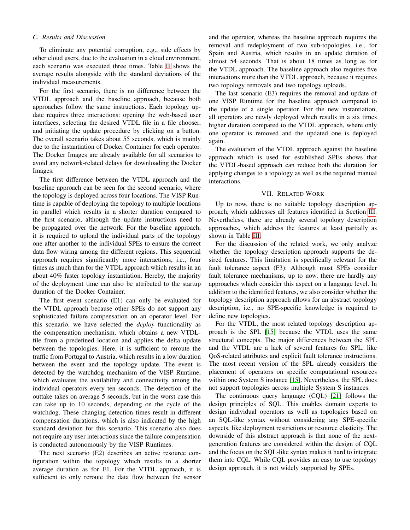# *C. Results and Discussion*

To eliminate any potential corruption, e.g., side effects by other cloud users, due to the evaluation in a cloud environment, each scenario was executed three times. Table [II](#page-8-7) shows the average results alongside with the standard deviations of the individual measurements.

For the first scenario, there is no difference between the VTDL approach and the baseline approach, because both approaches follow the same instructions. Each topology update requires three interactions: opening the web-based user interfaces, selecting the desired VTDL file in a file chooser, and initiating the update procedure by clicking on a button. The overall scenario takes about 55 seconds, which is mainly due to the instantiation of Docker Container for each operator. The Docker Images are already available for all scenarios to avoid any network-related delays for downloading the Docker Images.

The first difference between the VTDL approach and the baseline approach can be seen for the second scenario, where the topology is deployed across four locations. The VISP Runtime is capable of deploying the topology to multiple locations in parallel which results in a shorter duration compared to the first scenario, although the update instructions need to be propagated over the network. For the baseline approach, it is required to upload the individual parts of the topology one after another to the individual SPEs to ensure the correct data flow wiring among the different regions. This sequential approach requires significantly more interactions, i.e., four times as much than for the VTDL approach which results in an about 40% faster topology instantiation. Hereby, the majority of the deployment time can also be attributed to the startup duration of the Docker Container.

The first event scenario (E1) can only be evaluated for the VTDL approach because other SPEs do not support any sophisticated failure compensation on an operator level. For this scenario, we have selected the *deploy* functionality as the compensation mechanism, which obtains a new VTDLfile from a predefined location and applies the delta update between the topologies. Here, it is sufficient to reroute the traffic from Portugal to Austria, which results in a low duration between the event and the topology update. The event is detected by the watchdog mechanism of the VISP Runtime, which evaluates the availability and connectivity among the individual operators every ten seconds. The detection of the outtake takes on average 5 seconds, but in the worst case this can take up to 10 seconds, depending on the cycle of the watchdog. These changing detection times result in different compensation durations, which is also indicated by the high standard deviation for this scenario. This scenario also does not require any user interactions since the failure compensation is conducted autonomously by the VISP Runtimes.

The next scenario (E2) describes an active resource configuration within the topology which results in a shorter average duration as for E1. For the VTDL approach, it is sufficient to only reroute the data flow between the sensor and the operator, whereas the baseline approach requires the removal and redeployment of two sub-topologies, i.e., for Spain and Austria, which results in an update duration of almost 54 seconds. That is about 18 times as long as for the VTDL approach. The baseline approach also requires five interactions more than the VTDL approach, because it requires two topology removals and two topology uploads.

The last scenario (E3) requires the removal and update of one VISP Runtime for the baseline approach compared to the update of a single operator. For the new instantiation, all operators are newly deployed which results in a six times higher duration compared to the VTDL approach, where only one operator is removed and the updated one is deployed again.

The evaluation of the VTDL approach against the baseline approach which is used for established SPEs shows that the VTDL-based approach can reduce both the duration for applying changes to a topology as well as the required manual interactions.

# VII. RELATED WORK

<span id="page-7-0"></span>Up to now, there is no suitable topology description approach, which addresses all features identified in Section [III.](#page-2-0) Nevertheless, there are already several topology description approaches, which address the features at least partially as shown in Table [III.](#page-9-27)

For the discussion of the related work, we only analyze whether the topology description approach supports the desired features. This limitation is specifically relevant for the fault tolerance aspect (F3): Although most SPEs consider fault tolerance mechanisms, up to now, there are hardly any approaches which consider this aspect on a language level. In addition to the identified features, we also consider whether the topology description approach allows for an abstract topology description, i.e., no SPE-specific knowledge is required to define new topologies.

For the VTDL, the most related topology description approach is the SPL [\[15\]](#page-9-8) because the VTDL uses the same structural concepts. The major differences between the SPL and the VTDL are a lack of several features for SPL, like QoS-related attributes and explicit fault tolerance instructions. The most recent version of the SPL already considers the placement of operators on specific computational resources within one System S instance [\[15\]](#page-9-8). Nevertheless, the SPL does not support topologies across multiple System S instances.

The continuous query language (CQL) [\[21\]](#page-9-14) follows the design principles of SQL. This enables domain experts to design individual operators as well as topologies based on an SQL-like syntax without considering any SPE-specific aspects, like deployment restrictions or resource elasticity. The downside of this abstract approach is that none of the nextgeneration features are considered within the design of CQL and the focus on the SQL-like syntax makes it hard to integrate them into CQL. While CQL provides an easy to use topology design approach, it is not widely supported by SPEs.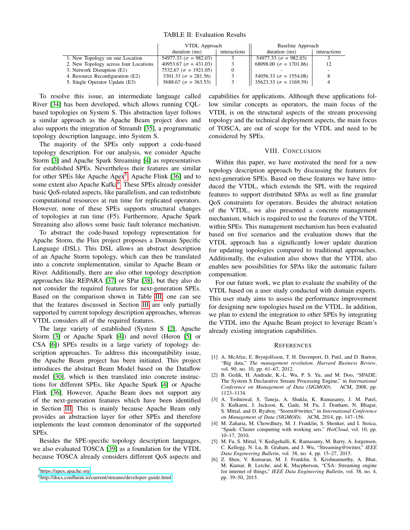TABLE II: Evaluation Results

<span id="page-8-7"></span>

|                                       | VTDL Approach                  |              | Baseline Approach               |              |  |
|---------------------------------------|--------------------------------|--------------|---------------------------------|--------------|--|
|                                       | duration (ms)                  | interactions | duration (ms)                   | interactions |  |
| 1. New Topology on one Location       | 54977.33 ( $\sigma = 982.03$ ) |              | 54977.33 ( $\sigma$ = 982.03)   |              |  |
| 2. New Topology across four Locations | 40953.67 ( $\sigma$ = 431.03)  |              | 68098.00 ( $\sigma$ = 1701.86)  | 12           |  |
| 3. Network Disruption (E1)            | 7532.67 ( $\sigma = 1921.05$ ) |              |                                 |              |  |
| 4. Resource Reconfiguration (E2)      | 3301.33 ( $\sigma$ = 281.56)   |              | 54056.33 ( $\sigma = 1554.08$ ) | 8            |  |
| 5. Single Operator Update (E3)        | 5688.67 ( $\sigma$ = 363.53)   |              | $35623.33 (\sigma = 1169.39)$   |              |  |

To resolve this issue, an intermediate language called River [\[34\]](#page-9-28) has been developed, which allows running CQLbased topologies on System S. This abstraction layer follows a similar approach as the Apache Beam project does and also supports the integration of StreamIt [\[35\]](#page-9-29), a programmatic topology description language, into System S.

The majority of the SPEs only support a code-based topology description. For our analysis, we consider Apache Storm [\[3\]](#page-8-2) and Apache Spark Streaming [\[4\]](#page-8-3) as representatives for established SPEs. Nevertheless their features are similar for other SPEs like Apache Apex<sup>[5](#page-8-8)</sup>, Apache Flink [\[36\]](#page-9-30) and to some extent also Apache Kafka<sup>[6](#page-8-9)</sup>. These SPEs already consider basic QoS-related aspects, like parallelism, and can redistribute computational resources at run time for replicated operators. However, none of these SPEs supports structural changes of topologies at run time (F5). Furthermore, Apache Spark Streaming also allows some basic fault tolerance mechanism.

To abstract the code-based topology representation for Apache Storm, the Flux project proposes a Domain Specific Language (DSL). This DSL allows an abstract description of an Apache Storm topology, which can then be translated into a concrete implementation, similar to Apache Beam or River. Additionally, there are also other topology description approaches like REPARA [\[37\]](#page-9-31) or SPar [\[38\]](#page-9-32), but they also do not consider the required features for next-generation SPEs. Based on the comparison shown in Table [III,](#page-9-27) one can see that the features discussed in Section [III](#page-2-0) are only partially supported by current topology description approaches, whereas VTDL considers all of the required features.

The large variety of established (System S [\[2\]](#page-8-1), Apache Storm [\[3\]](#page-8-2) or Apache Spark [\[4\]](#page-8-3)) and novel (Heron [\[5\]](#page-8-4) or CSA [\[6\]](#page-8-5)) SPEs results in a large variety of topology description approaches. To address this incompatibility issue, the Apache Beam project has been initiated. This project introduces the abstract Beam Model based on the Dataflow model [\[30\]](#page-9-23), which is then translated into concrete instructions for different SPEs, like Apache Spark [\[4\]](#page-8-3) or Apache Flink [\[36\]](#page-9-30). However, Apache Beam does not support any of the next-generation features which have been identified in Section [III.](#page-2-0) This is mainly because Apache Beam only provides an abstraction layer for other SPEs and therefore implements the least common denominator of the supported SPEs.

Besides the SPE-specific topology description languages, we also evaluated TOSCA [\[39\]](#page-9-33) as a foundation for the VTDL because TOSCA already considers different QoS aspects and capabilities for applications. Although these applications follow similar concepts as operators, the main focus of the VTDL is on the structural aspects of the stream processing topology and the technical deployment aspects, the main focus of TOSCA, are out of scope for the VTDL and need to be considered by SPEs.

# VIII. CONCLUSION

<span id="page-8-6"></span>Within this paper, we have motivated the need for a new topology description approach by discussing the features for next-generation SPEs. Based on these features we have introduced the VTDL, which extends the SPL with the required features to support distributed SPAs as well as fine granular QoS constraints for operators. Besides the abstract notation of the VTDL, we also presented a concrete management mechanism, which is required to use the features of the VTDL within SPEs. This management mechanism has been evaluated based on five scenarios and the evaluation shows that the VTDL approach has a significantly lower update duration for updating topologies compared to traditional approaches. Additionally, the evaluation also shows that the VTDL also enables new possibilities for SPAs like the automatic failure compensation.

For our future work, we plan to evaluate the usability of the VTDL based on a user study conducted with domain experts. This user study aims to assess the performance improvement for designing new topologies based on the VTDL. In addition, we plan to extend the integration to other SPEs by integrating the VTDL into the Apache Beam project to leverage Beam's already existing integration capabilities.

#### **REFERENCES**

- <span id="page-8-0"></span>[1] A. McAfee, E. Brynjolfsson, T. H. Davenport, D. Patil, and D. Barton, "Big data," *The management revolution. Harvard Business Review*, vol. 90, no. 10, pp. 61–67, 2012.
- <span id="page-8-1"></span>[2] B. Gedik, H. Andrade, K.-L. Wu, P. S. Yu, and M. Doo, "SPADE: The System S Declarative Stream Processing Engine," in *International Conference on Management of Data (SIGMOD)*. ACM, 2008, pp. 1123–1134.
- <span id="page-8-2"></span>[3] A. Toshniwal, S. Taneja, A. Shukla, K. Ramasamy, J. M. Patel, S. Kulkarni, J. Jackson, K. Gade, M. Fu, J. Donham, N. Bhagat, S. Mittal, and D. Ryaboy, "Storm@twitter," in *International Conference on Management of Data (SIGMOD)*. ACM, 2014, pp. 147–156.
- <span id="page-8-3"></span>[4] M. Zaharia, M. Chowdhury, M. J. Franklin, S. Shenker, and I. Stoica, "Spark: Cluster computing with working sets." *HotCloud*, vol. 10, pp. 10–17, 2010.
- <span id="page-8-4"></span>[5] M. Fu, S. Mittal, V. Kedigehalli, K. Ramasamy, M. Barry, A. Jorgensen, C. Kellogg, N. Lu, B. Graham, and J. Wu, "Streaming@twitter," *IEEE Data Engineering Bulletin*, vol. 38, no. 4, pp. 15–27, 2015.
- <span id="page-8-5"></span>[6] Z. Shen, V. Kumaran, M. J. Franklin, S. Krishnamurthy, A. Bhat, M. Kumar, R. Lerche, and K. Macpherson, "CSA: Streaming engine for internet of things," *IEEE Data Engineering Bulletin*, vol. 38, no. 4, pp. 39–50, 2015.

<span id="page-8-8"></span><sup>5</sup><https://apex.apache.org>

<span id="page-8-9"></span><sup>6</sup><http://docs.confluent.io/current/streams/developer-guide.html>